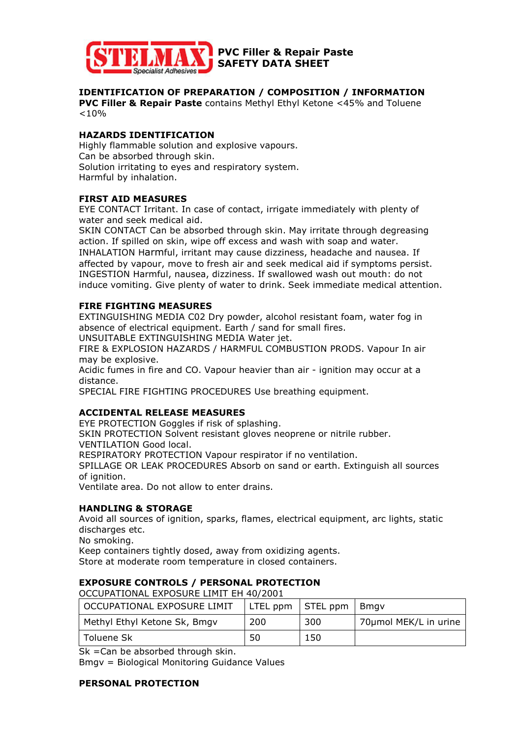

# **IDENTIFICATION OF PREPARATION / COMPOSITION / INFORMATION**

**PVC Filler & Repair Paste** contains Methyl Ethyl Ketone <45% and Toluene  $< 10\%$ 

## **HAZARDS IDENTIFICATION**

Highly flammable solution and explosive vapours. Can be absorbed through skin. Solution irritating to eyes and respiratory system. Harmful by inhalation.

### **FIRST AID MEASURES**

EYE CONTACT Irritant. In case of contact, irrigate immediately with plenty of water and seek medical aid.

SKIN CONTACT Can be absorbed through skin. May irritate through degreasing action. If spilled on skin, wipe off excess and wash with soap and water.

INHALATION Harmful, irritant may cause dizziness, headache and nausea. If affected by vapour, move to fresh air and seek medical aid if symptoms persist. INGESTION Harmful, nausea, dizziness. If swallowed wash out mouth: do not induce vomiting. Give plenty of water to drink. Seek immediate medical attention.

### **FIRE FIGHTING MEASURES**

EXTINGUISHING MEDIA C02 Dry powder, alcohol resistant foam, water fog in absence of electrical equipment. Earth / sand for small fires.

UNSUITABLE EXTINGUISHING MEDIA Water jet.

FIRE & EXPLOSION HAZARDS / HARMFUL COMBUSTION PRODS. Vapour In air may be explosive.

Acidic fumes in fire and CO. Vapour heavier than air - ignition may occur at a distance.

SPECIAL FIRE FIGHTING PROCEDURES Use breathing equipment.

### **ACCIDENTAL RELEASE MEASURES**

EYE PROTECTION Goggles if risk of splashing.

SKIN PROTECTION Solvent resistant gloves neoprene or nitrile rubber. VENTILATION Good local.

RESPIRATORY PROTECTION Vapour respirator if no ventilation.

SPILLAGE OR LEAK PROCEDURES Absorb on sand or earth. Extinguish all sources of ianition.

Ventilate area. Do not allow to enter drains.

### **HANDLING & STORAGE**

Avoid all sources of ignition, sparks, flames, electrical equipment, arc lights, static discharges etc.

No smoking.

Keep containers tightly dosed, away from oxidizing agents.

Store at moderate room temperature in closed containers.

### **EXPOSURE CONTROLS / PERSONAL PROTECTION**

OCCUPATIONAL EXPOSURE LIMIT EH 40/2001

| OCCUPATIONAL EXPOSURE LIMIT  |     | LTEL $ppm$   STEL $ppm$   Bmgv |                       |
|------------------------------|-----|--------------------------------|-----------------------|
| Methyl Ethyl Ketone Sk, Bmgv | 200 | 300                            | 70µmol MEK/L in urine |
| Toluene Sk                   | 50  | 150                            |                       |

Sk =Can be absorbed through skin.

Bmgv = Biological Monitoring Guidance Values

### **PERSONAL PROTECTION**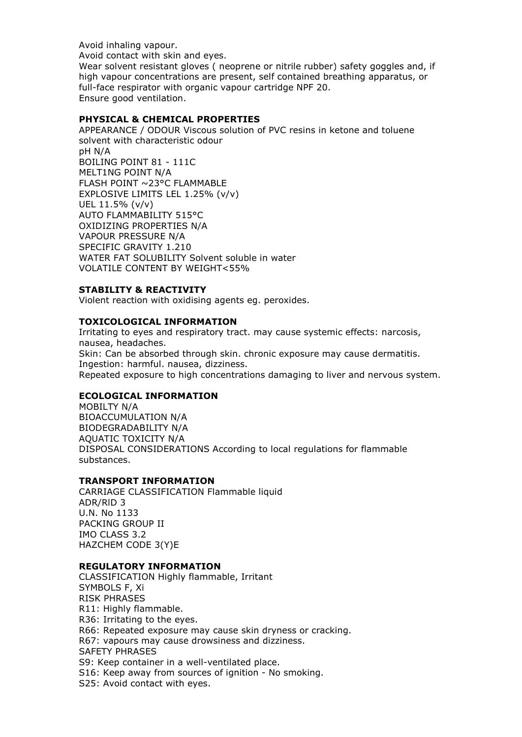Avoid inhaling vapour.

Avoid contact with skin and eyes.

Wear solvent resistant gloves ( neoprene or nitrile rubber) safety goggles and, if high vapour concentrations are present, self contained breathing apparatus, or full-face respirator with organic vapour cartridge NPF 20. Ensure good ventilation.

## **PHYSICAL & CHEMICAL PROPERTIES**

APPEARANCE / ODOUR Viscous solution of PVC resins in ketone and toluene solvent with characteristic odour pH N/A BOILING POINT 81 - 111C MELT1NG POINT N/A FLASH POINT ~23°C FLAMMABLE EXPLOSIVE LIMITS LEL 1.25% (v/v) UEL 11.5% (v/v) AUTO FLAMMABILITY 515°C OXIDIZING PROPERTIES N/A VAPOUR PRESSURE N/A SPECIFIC GRAVITY 1.210 WATER FAT SOLUBILITY Solvent soluble in water VOLATILE CONTENT BY WEIGHT<55%

### **STABILITY & REACTIVITY**

Violent reaction with oxidising agents eg. peroxides.

### **TOXICOLOGICAL INFORMATION**

Irritating to eyes and respiratory tract. may cause systemic effects: narcosis, nausea, headaches. Skin: Can be absorbed through skin. chronic exposure may cause dermatitis. Ingestion: harmful. nausea, dizziness. Repeated exposure to high concentrations damaging to liver and nervous system.

### **ECOLOGICAL INFORMATION**

MOBILTY N/A BIOACCUMULATION N/A BIODEGRADABILITY N/A AQUATIC TOXICITY N/A DISPOSAL CONSIDERATIONS According to local regulations for flammable substances.

### **TRANSPORT INFORMATION**

CARRIAGE CLASSIFICATION Flammable liquid ADR/RlD 3 U.N. No 1133 PACKING GROUP II IMO CLASS 3.2 HAZCHEM CODE 3(Y)E

#### **REGULATORY INFORMATION**

CLASSIFICATION Highly flammable, Irritant SYMBOLS F, Xi RISK PHRASES R11: Highly flammable. R36: Irritating to the eyes. R66: Repeated exposure may cause skin dryness or cracking. R67: vapours may cause drowsiness and dizziness. SAFETY PHRASES S9: Keep container in a well-ventilated place. S16: Keep away from sources of ignition - No smoking. S25: Avoid contact with eyes.